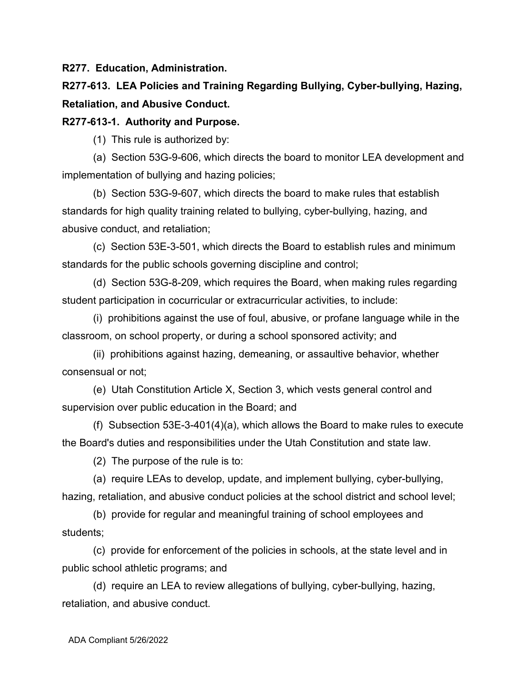**R277. Education, Administration.**

**R277-613. LEA Policies and Training Regarding Bullying, Cyber-bullying, Hazing, Retaliation, and Abusive Conduct.**

### **R277-613-1. Authority and Purpose.**

(1) This rule is authorized by:

(a) Section 53G-9-606, which directs the board to monitor LEA development and implementation of bullying and hazing policies;

(b) Section 53G-9-607, which directs the board to make rules that establish standards for high quality training related to bullying, cyber-bullying, hazing, and abusive conduct, and retaliation;

(c) Section 53E-3-501, which directs the Board to establish rules and minimum standards for the public schools governing discipline and control;

(d) Section 53G-8-209, which requires the Board, when making rules regarding student participation in cocurricular or extracurricular activities, to include:

(i) prohibitions against the use of foul, abusive, or profane language while in the classroom, on school property, or during a school sponsored activity; and

(ii) prohibitions against hazing, demeaning, or assaultive behavior, whether consensual or not;

(e) Utah Constitution Article X, Section 3, which vests general control and supervision over public education in the Board; and

(f) Subsection 53E-3-401(4)(a), which allows the Board to make rules to execute the Board's duties and responsibilities under the Utah Constitution and state law.

(2) The purpose of the rule is to:

(a) require LEAs to develop, update, and implement bullying, cyber-bullying, hazing, retaliation, and abusive conduct policies at the school district and school level;

(b) provide for regular and meaningful training of school employees and students;

(c) provide for enforcement of the policies in schools, at the state level and in public school athletic programs; and

(d) require an LEA to review allegations of bullying, cyber-bullying, hazing, retaliation, and abusive conduct.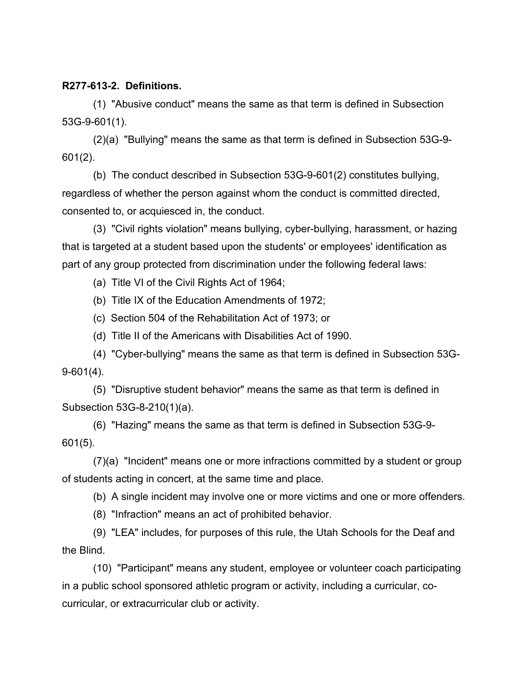#### **R277-613-2. Definitions.**

(1) "Abusive conduct" means the same as that term is defined in Subsection 53G-9-601(1).

(2)(a) "Bullying" means the same as that term is defined in Subsection 53G-9- 601(2).

(b) The conduct described in Subsection 53G-9-601(2) constitutes bullying, regardless of whether the person against whom the conduct is committed directed, consented to, or acquiesced in, the conduct.

(3) "Civil rights violation" means bullying, cyber-bullying, harassment, or hazing that is targeted at a student based upon the students' or employees' identification as part of any group protected from discrimination under the following federal laws:

(a) Title VI of the Civil Rights Act of 1964;

(b) Title IX of the Education Amendments of 1972;

(c) Section 504 of the Rehabilitation Act of 1973; or

(d) Title II of the Americans with Disabilities Act of 1990.

(4) "Cyber-bullying" means the same as that term is defined in Subsection 53G-9-601(4).

(5) "Disruptive student behavior" means the same as that term is defined in Subsection 53G-8-210(1)(a).

(6) "Hazing" means the same as that term is defined in Subsection 53G-9- 601(5).

(7)(a) "Incident" means one or more infractions committed by a student or group of students acting in concert, at the same time and place.

(b) A single incident may involve one or more victims and one or more offenders.

(8) "Infraction" means an act of prohibited behavior.

(9) "LEA" includes, for purposes of this rule, the Utah Schools for the Deaf and the Blind.

(10) "Participant" means any student, employee or volunteer coach participating in a public school sponsored athletic program or activity, including a curricular, cocurricular, or extracurricular club or activity.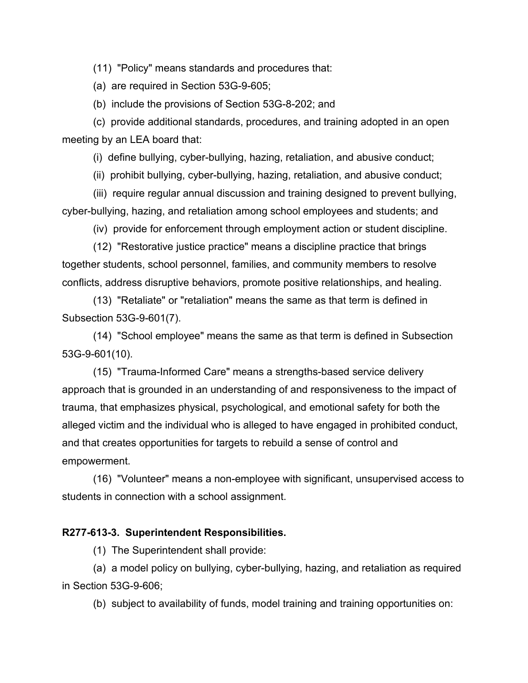(11) "Policy" means standards and procedures that:

(a) are required in Section 53G-9-605;

(b) include the provisions of Section 53G-8-202; and

(c) provide additional standards, procedures, and training adopted in an open meeting by an LEA board that:

(i) define bullying, cyber-bullying, hazing, retaliation, and abusive conduct;

(ii) prohibit bullying, cyber-bullying, hazing, retaliation, and abusive conduct;

(iii) require regular annual discussion and training designed to prevent bullying, cyber-bullying, hazing, and retaliation among school employees and students; and

(iv) provide for enforcement through employment action or student discipline.

(12) "Restorative justice practice" means a discipline practice that brings together students, school personnel, families, and community members to resolve conflicts, address disruptive behaviors, promote positive relationships, and healing.

(13) "Retaliate" or "retaliation" means the same as that term is defined in Subsection 53G-9-601(7).

(14) "School employee" means the same as that term is defined in Subsection 53G-9-601(10).

(15) "Trauma-Informed Care" means a strengths-based service delivery approach that is grounded in an understanding of and responsiveness to the impact of trauma, that emphasizes physical, psychological, and emotional safety for both the alleged victim and the individual who is alleged to have engaged in prohibited conduct, and that creates opportunities for targets to rebuild a sense of control and empowerment.

(16) "Volunteer" means a non-employee with significant, unsupervised access to students in connection with a school assignment.

#### **R277-613-3. Superintendent Responsibilities.**

(1) The Superintendent shall provide:

(a) a model policy on bullying, cyber-bullying, hazing, and retaliation as required in Section 53G-9-606;

(b) subject to availability of funds, model training and training opportunities on: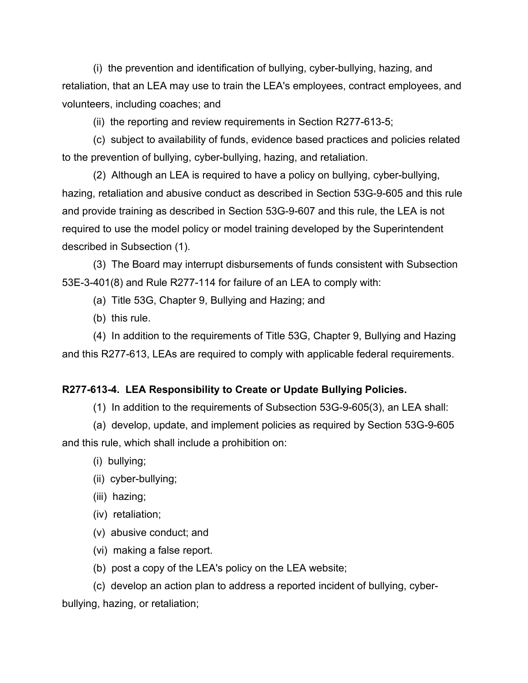(i) the prevention and identification of bullying, cyber-bullying, hazing, and retaliation, that an LEA may use to train the LEA's employees, contract employees, and volunteers, including coaches; and

(ii) the reporting and review requirements in Section R277-613-5;

(c) subject to availability of funds, evidence based practices and policies related to the prevention of bullying, cyber-bullying, hazing, and retaliation.

(2) Although an LEA is required to have a policy on bullying, cyber-bullying, hazing, retaliation and abusive conduct as described in Section 53G-9-605 and this rule and provide training as described in Section 53G-9-607 and this rule, the LEA is not required to use the model policy or model training developed by the Superintendent described in Subsection (1).

(3) The Board may interrupt disbursements of funds consistent with Subsection 53E-3-401(8) and Rule R277-114 for failure of an LEA to comply with:

(a) Title 53G, Chapter 9, Bullying and Hazing; and

(b) this rule.

(4) In addition to the requirements of Title 53G, Chapter 9, Bullying and Hazing and this R277-613, LEAs are required to comply with applicable federal requirements.

#### **R277-613-4. LEA Responsibility to Create or Update Bullying Policies.**

(1) In addition to the requirements of Subsection 53G-9-605(3), an LEA shall:

(a) develop, update, and implement policies as required by Section 53G-9-605 and this rule, which shall include a prohibition on:

(i) bullying;

- (ii) cyber-bullying;
- (iii) hazing;
- (iv) retaliation;
- (v) abusive conduct; and
- (vi) making a false report.
- (b) post a copy of the LEA's policy on the LEA website;

(c) develop an action plan to address a reported incident of bullying, cyberbullying, hazing, or retaliation;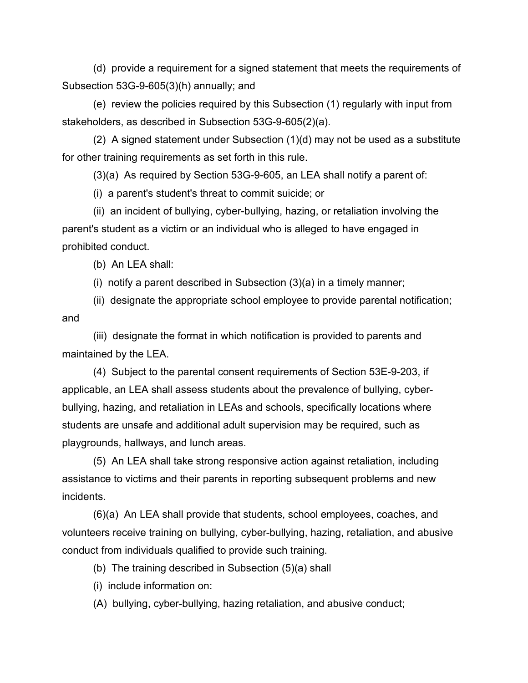(d) provide a requirement for a signed statement that meets the requirements of Subsection 53G-9-605(3)(h) annually; and

(e) review the policies required by this Subsection (1) regularly with input from stakeholders, as described in Subsection 53G-9-605(2)(a).

(2) A signed statement under Subsection (1)(d) may not be used as a substitute for other training requirements as set forth in this rule.

(3)(a) As required by Section 53G-9-605, an LEA shall notify a parent of:

(i) a parent's student's threat to commit suicide; or

(ii) an incident of bullying, cyber-bullying, hazing, or retaliation involving the parent's student as a victim or an individual who is alleged to have engaged in prohibited conduct.

(b) An LEA shall:

(i) notify a parent described in Subsection (3)(a) in a timely manner;

(ii) designate the appropriate school employee to provide parental notification; and

(iii) designate the format in which notification is provided to parents and maintained by the LEA.

(4) Subject to the parental consent requirements of Section 53E-9-203, if applicable, an LEA shall assess students about the prevalence of bullying, cyberbullying, hazing, and retaliation in LEAs and schools, specifically locations where students are unsafe and additional adult supervision may be required, such as playgrounds, hallways, and lunch areas.

(5) An LEA shall take strong responsive action against retaliation, including assistance to victims and their parents in reporting subsequent problems and new incidents.

(6)(a) An LEA shall provide that students, school employees, coaches, and volunteers receive training on bullying, cyber-bullying, hazing, retaliation, and abusive conduct from individuals qualified to provide such training.

(b) The training described in Subsection (5)(a) shall

(i) include information on:

(A) bullying, cyber-bullying, hazing retaliation, and abusive conduct;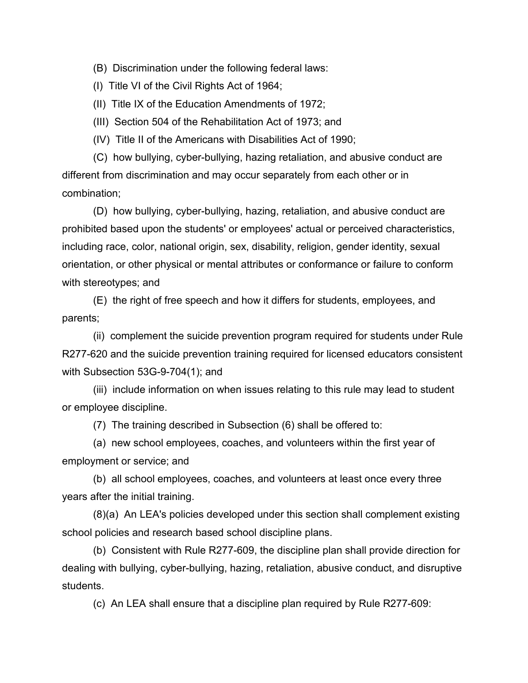(B) Discrimination under the following federal laws:

(I) Title VI of the Civil Rights Act of 1964;

(II) Title IX of the Education Amendments of 1972;

(III) Section 504 of the Rehabilitation Act of 1973; and

(IV) Title II of the Americans with Disabilities Act of 1990;

(C) how bullying, cyber-bullying, hazing retaliation, and abusive conduct are different from discrimination and may occur separately from each other or in combination;

(D) how bullying, cyber-bullying, hazing, retaliation, and abusive conduct are prohibited based upon the students' or employees' actual or perceived characteristics, including race, color, national origin, sex, disability, religion, gender identity, sexual orientation, or other physical or mental attributes or conformance or failure to conform with stereotypes; and

(E) the right of free speech and how it differs for students, employees, and parents;

(ii) complement the suicide prevention program required for students under Rule R277-620 and the suicide prevention training required for licensed educators consistent with Subsection 53G-9-704(1); and

(iii) include information on when issues relating to this rule may lead to student or employee discipline.

(7) The training described in Subsection (6) shall be offered to:

(a) new school employees, coaches, and volunteers within the first year of employment or service; and

(b) all school employees, coaches, and volunteers at least once every three years after the initial training.

(8)(a) An LEA's policies developed under this section shall complement existing school policies and research based school discipline plans.

(b) Consistent with Rule R277-609, the discipline plan shall provide direction for dealing with bullying, cyber-bullying, hazing, retaliation, abusive conduct, and disruptive students.

(c) An LEA shall ensure that a discipline plan required by Rule R277-609: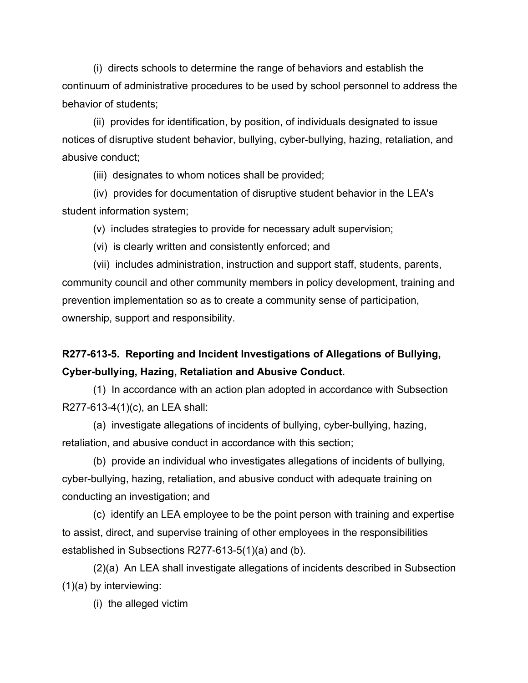(i) directs schools to determine the range of behaviors and establish the continuum of administrative procedures to be used by school personnel to address the behavior of students;

(ii) provides for identification, by position, of individuals designated to issue notices of disruptive student behavior, bullying, cyber-bullying, hazing, retaliation, and abusive conduct;

(iii) designates to whom notices shall be provided;

(iv) provides for documentation of disruptive student behavior in the LEA's student information system;

(v) includes strategies to provide for necessary adult supervision;

(vi) is clearly written and consistently enforced; and

(vii) includes administration, instruction and support staff, students, parents, community council and other community members in policy development, training and prevention implementation so as to create a community sense of participation, ownership, support and responsibility.

# **R277-613-5. Reporting and Incident Investigations of Allegations of Bullying, Cyber-bullying, Hazing, Retaliation and Abusive Conduct.**

(1) In accordance with an action plan adopted in accordance with Subsection R277-613-4(1)(c), an LEA shall:

(a) investigate allegations of incidents of bullying, cyber-bullying, hazing, retaliation, and abusive conduct in accordance with this section;

(b) provide an individual who investigates allegations of incidents of bullying, cyber-bullying, hazing, retaliation, and abusive conduct with adequate training on conducting an investigation; and

(c) identify an LEA employee to be the point person with training and expertise to assist, direct, and supervise training of other employees in the responsibilities established in Subsections R277-613-5(1)(a) and (b).

(2)(a) An LEA shall investigate allegations of incidents described in Subsection (1)(a) by interviewing:

(i) the alleged victim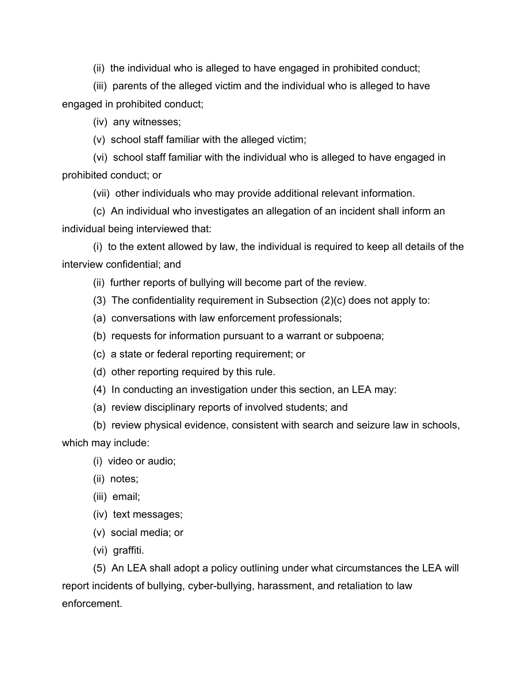(ii) the individual who is alleged to have engaged in prohibited conduct;

(iii) parents of the alleged victim and the individual who is alleged to have engaged in prohibited conduct;

(iv) any witnesses;

(v) school staff familiar with the alleged victim;

(vi) school staff familiar with the individual who is alleged to have engaged in prohibited conduct; or

(vii) other individuals who may provide additional relevant information.

(c) An individual who investigates an allegation of an incident shall inform an individual being interviewed that:

(i) to the extent allowed by law, the individual is required to keep all details of the interview confidential; and

- (ii) further reports of bullying will become part of the review.
- (3) The confidentiality requirement in Subsection (2)(c) does not apply to:
- (a) conversations with law enforcement professionals;
- (b) requests for information pursuant to a warrant or subpoena;
- (c) a state or federal reporting requirement; or
- (d) other reporting required by this rule.
- (4) In conducting an investigation under this section, an LEA may:
- (a) review disciplinary reports of involved students; and

(b) review physical evidence, consistent with search and seizure law in schools, which may include:

- (i) video or audio;
- (ii) notes;
- (iii) email;
- (iv) text messages;
- (v) social media; or
- (vi) graffiti.

(5) An LEA shall adopt a policy outlining under what circumstances the LEA will report incidents of bullying, cyber-bullying, harassment, and retaliation to law enforcement.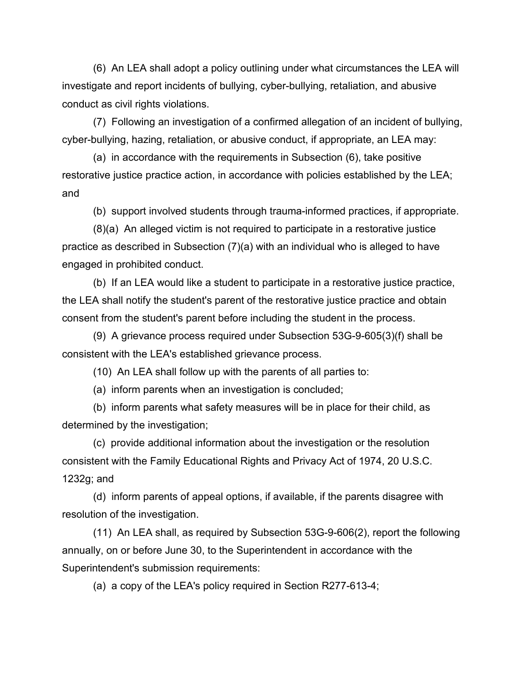(6) An LEA shall adopt a policy outlining under what circumstances the LEA will investigate and report incidents of bullying, cyber-bullying, retaliation, and abusive conduct as civil rights violations.

(7) Following an investigation of a confirmed allegation of an incident of bullying, cyber-bullying, hazing, retaliation, or abusive conduct, if appropriate, an LEA may:

(a) in accordance with the requirements in Subsection (6), take positive restorative justice practice action, in accordance with policies established by the LEA; and

(b) support involved students through trauma-informed practices, if appropriate.

(8)(a) An alleged victim is not required to participate in a restorative justice practice as described in Subsection (7)(a) with an individual who is alleged to have engaged in prohibited conduct.

(b) If an LEA would like a student to participate in a restorative justice practice, the LEA shall notify the student's parent of the restorative justice practice and obtain consent from the student's parent before including the student in the process.

(9) A grievance process required under Subsection 53G-9-605(3)(f) shall be consistent with the LEA's established grievance process.

(10) An LEA shall follow up with the parents of all parties to:

(a) inform parents when an investigation is concluded;

(b) inform parents what safety measures will be in place for their child, as determined by the investigation;

(c) provide additional information about the investigation or the resolution consistent with the Family Educational Rights and Privacy Act of 1974, 20 U.S.C. 1232g; and

(d) inform parents of appeal options, if available, if the parents disagree with resolution of the investigation.

(11) An LEA shall, as required by Subsection 53G-9-606(2), report the following annually, on or before June 30, to the Superintendent in accordance with the Superintendent's submission requirements:

(a) a copy of the LEA's policy required in Section R277-613-4;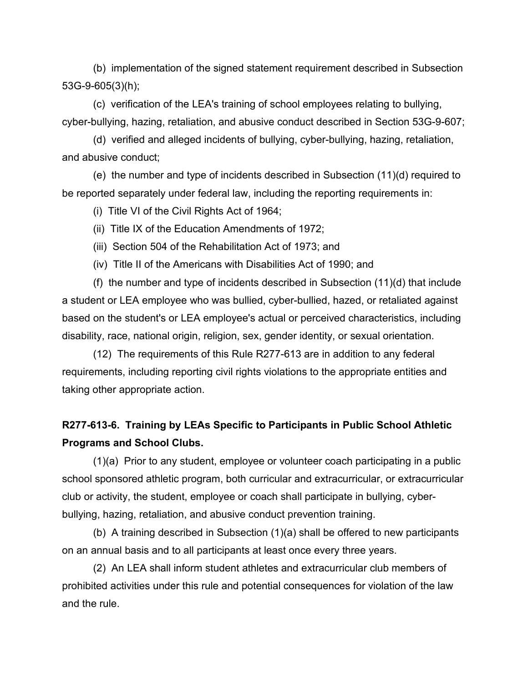(b) implementation of the signed statement requirement described in Subsection 53G-9-605(3)(h);

(c) verification of the LEA's training of school employees relating to bullying, cyber-bullying, hazing, retaliation, and abusive conduct described in Section 53G-9-607;

(d) verified and alleged incidents of bullying, cyber-bullying, hazing, retaliation, and abusive conduct;

(e) the number and type of incidents described in Subsection (11)(d) required to be reported separately under federal law, including the reporting requirements in:

(i) Title VI of the Civil Rights Act of 1964;

(ii) Title IX of the Education Amendments of 1972;

(iii) Section 504 of the Rehabilitation Act of 1973; and

(iv) Title II of the Americans with Disabilities Act of 1990; and

(f) the number and type of incidents described in Subsection (11)(d) that include a student or LEA employee who was bullied, cyber-bullied, hazed, or retaliated against based on the student's or LEA employee's actual or perceived characteristics, including disability, race, national origin, religion, sex, gender identity, or sexual orientation.

(12) The requirements of this Rule R277-613 are in addition to any federal requirements, including reporting civil rights violations to the appropriate entities and taking other appropriate action.

# **R277-613-6. Training by LEAs Specific to Participants in Public School Athletic Programs and School Clubs.**

(1)(a) Prior to any student, employee or volunteer coach participating in a public school sponsored athletic program, both curricular and extracurricular, or extracurricular club or activity, the student, employee or coach shall participate in bullying, cyberbullying, hazing, retaliation, and abusive conduct prevention training.

(b) A training described in Subsection (1)(a) shall be offered to new participants on an annual basis and to all participants at least once every three years.

(2) An LEA shall inform student athletes and extracurricular club members of prohibited activities under this rule and potential consequences for violation of the law and the rule.